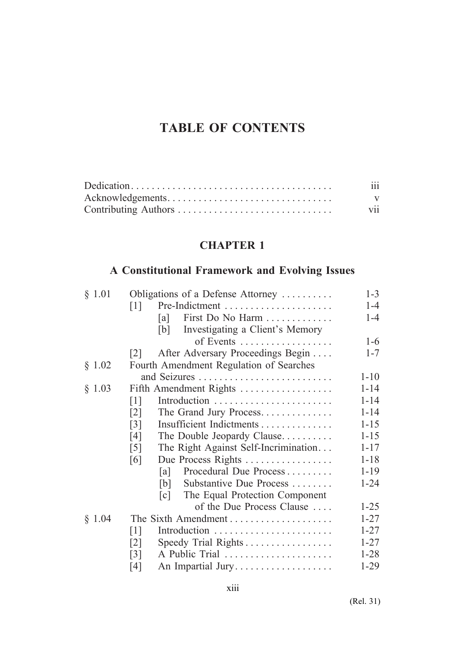# **TABLE OF CONTENTS**

| $\cdots$<br>111 |
|-----------------|
| v               |
| V11             |

# **CHAPTER 1**

# **A Constitutional Framework and Evolving Issues**

| § 1.01 | Obligations of a Defense Attorney                         | $1 - 3$  |
|--------|-----------------------------------------------------------|----------|
|        | Pre-Indictment<br>$\lceil 1 \rceil$                       | $1 - 4$  |
|        | First Do No Harm<br> a                                    | $1 - 4$  |
|        | Investigating a Client's Memory<br>[b]                    |          |
|        | of Events                                                 | $1-6$    |
|        | After Adversary Proceedings Begin<br> 2                   | $1 - 7$  |
| § 1.02 | Fourth Amendment Regulation of Searches                   |          |
|        |                                                           | $1 - 10$ |
| § 1.03 | Fifth Amendment Rights                                    | $1 - 14$ |
|        | Introduction<br>$\lceil 1 \rceil$                         | $1 - 14$ |
|        | The Grand Jury Process<br>$\lceil 2 \rceil$               | $1 - 14$ |
|        | Insufficient Indictments<br>$\lceil 3 \rceil$             | $1 - 15$ |
|        | [4]<br>The Double Jeopardy Clause                         | $1 - 15$ |
|        | The Right Against Self-Incrimination<br>$\lceil 5 \rceil$ | $1 - 17$ |
|        | Due Process Rights<br>[6]                                 | $1 - 18$ |
|        | Procedural Due Process<br> a                              | $1 - 19$ |
|        | Substantive Due Process<br> b                             | $1 - 24$ |
|        | The Equal Protection Component<br> c                      |          |
|        | of the Due Process Clause                                 | $1 - 25$ |
| § 1.04 | The Sixth Amendment                                       | $1 - 27$ |
|        | Introduction<br>$\lceil 1 \rceil$                         | $1 - 27$ |
|        | Speedy Trial Rights<br>$\lceil 2 \rceil$                  | $1 - 27$ |
|        | A Public Trial<br>$\lceil 3 \rceil$                       | $1 - 28$ |
|        | An Impartial Jury<br>[4]                                  | $1-29$   |
|        |                                                           |          |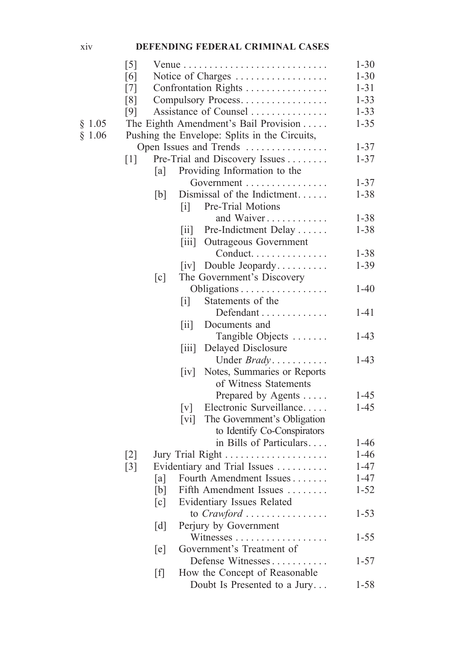#### xiv **DEFENDING FEDERAL CRIMINAL CASES**

|        | $\lceil 5 \rceil$ |                                                            | $1 - 30$ |
|--------|-------------------|------------------------------------------------------------|----------|
|        | [6]               | Notice of Charges                                          | $1 - 30$ |
|        | $[7]$             | Confrontation Rights                                       | $1 - 31$ |
|        | [8]               | Compulsory Process                                         | $1 - 33$ |
|        | [9]               | Assistance of Counsel                                      | $1 - 33$ |
| § 1.05 |                   | The Eighth Amendment's Bail Provision                      | $1 - 35$ |
| § 1.06 |                   | Pushing the Envelope: Splits in the Circuits,              |          |
|        |                   | Open Issues and Trends                                     | $1 - 37$ |
|        | $[1]$             | Pre-Trial and Discovery Issues                             | $1 - 37$ |
|        |                   | Providing Information to the<br>[a]                        |          |
|        |                   | Government                                                 | $1 - 37$ |
|        |                   | Dismissal of the Indictment<br>[b]                         | $1 - 38$ |
|        |                   | Pre-Trial Motions<br>$\begin{bmatrix} 1 \end{bmatrix}$     |          |
|        |                   | and Waiver                                                 | $1 - 38$ |
|        |                   |                                                            |          |
|        |                   | [ii] Pre-Indictment Delay                                  | $1 - 38$ |
|        |                   | Outrageous Government<br>$\left[ 111 \right]$              |          |
|        |                   | Conduct                                                    | $1 - 38$ |
|        |                   | $[iv]$ Double Jeopardy                                     | $1 - 39$ |
|        |                   | $\lceil c \rceil$<br>The Government's Discovery            |          |
|        |                   | Obligations                                                | $1 - 40$ |
|        |                   | Statements of the<br>$\lceil i \rceil$                     |          |
|        |                   | Defendant                                                  | $1 - 41$ |
|        |                   | $\left[\text{ii}\right]$<br>Documents and                  |          |
|        |                   | Tangible Objects                                           | $1 - 43$ |
|        |                   | Delayed Disclosure<br>$\left[\overline{\text{iii}}\right]$ |          |
|        |                   | Under <i>Brady</i>                                         | $1 - 43$ |
|        |                   | Notes, Summaries or Reports<br>$\left[\mathrm{iv}\right]$  |          |
|        |                   | of Witness Statements                                      |          |
|        |                   | Prepared by Agents                                         | $1 - 45$ |
|        |                   | Electronic Surveillance<br>$\lceil v \rceil$               | $1 - 45$ |
|        |                   | The Government's Obligation<br>$\lceil vi \rceil$          |          |
|        |                   | to Identify Co-Conspirators                                |          |
|        |                   | in Bills of Particulars                                    | $1 - 46$ |
|        | $\lceil 2 \rceil$ |                                                            | $1 - 46$ |
|        | $[3]$             | Evidentiary and Trial Issues                               | $1 - 47$ |
|        |                   | Fourth Amendment Issues<br>[a]                             | $1 - 47$ |
|        |                   | Fifth Amendment Issues<br>[b]                              | $1 - 52$ |
|        |                   | <b>Evidentiary Issues Related</b><br>[c]                   |          |
|        |                   | to Crawford                                                | $1 - 53$ |
|        |                   | Perjury by Government<br>$\lceil d \rceil$                 |          |
|        |                   | Witnesses<br>.                                             | $1 - 55$ |
|        |                   | Government's Treatment of<br>[e]                           |          |
|        |                   | Defense Witnesses                                          | $1 - 57$ |
|        |                   | How the Concept of Reasonable<br>$[f]$                     |          |
|        |                   | Doubt Is Presented to a Jury                               | $1 - 58$ |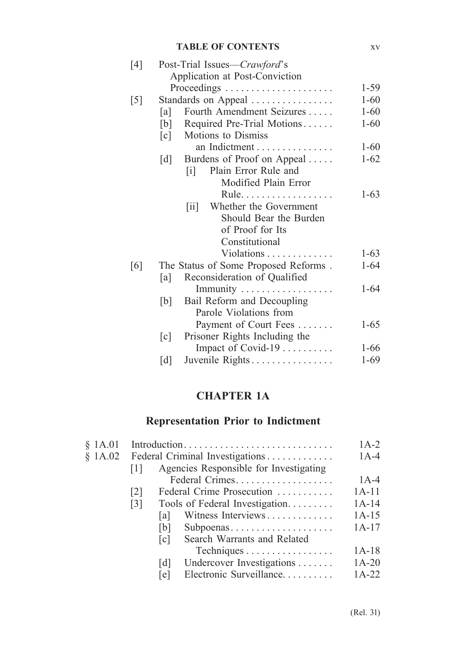#### **TABLE OF CONTENTS** xv

| Post-Trial Issues—Crawford's                        |                                                                                                                                                                                                                                                                                                              |
|-----------------------------------------------------|--------------------------------------------------------------------------------------------------------------------------------------------------------------------------------------------------------------------------------------------------------------------------------------------------------------|
|                                                     |                                                                                                                                                                                                                                                                                                              |
|                                                     | $1 - 59$                                                                                                                                                                                                                                                                                                     |
|                                                     | $1 - 60$                                                                                                                                                                                                                                                                                                     |
| Fourth Amendment Seizures<br>[a]                    | $1 - 60$                                                                                                                                                                                                                                                                                                     |
| [b]                                                 | $1 - 60$                                                                                                                                                                                                                                                                                                     |
| Motions to Dismiss<br>$\lceil c \rceil$             |                                                                                                                                                                                                                                                                                                              |
| an Indictment                                       | $1 - 60$                                                                                                                                                                                                                                                                                                     |
|                                                     | $1 - 62$                                                                                                                                                                                                                                                                                                     |
| Plain Error Rule and<br>$\mathbf{ii}$               |                                                                                                                                                                                                                                                                                                              |
| Modified Plain Error                                |                                                                                                                                                                                                                                                                                                              |
| Rule.                                               | $1-63$                                                                                                                                                                                                                                                                                                       |
| Whether the Government<br>$\left[\text{iii}\right]$ |                                                                                                                                                                                                                                                                                                              |
| Should Bear the Burden                              |                                                                                                                                                                                                                                                                                                              |
| of Proof for Its                                    |                                                                                                                                                                                                                                                                                                              |
| Constitutional                                      |                                                                                                                                                                                                                                                                                                              |
| Violations                                          | $1-63$                                                                                                                                                                                                                                                                                                       |
|                                                     | $1 - 64$                                                                                                                                                                                                                                                                                                     |
| Reconsideration of Qualified<br> a                  |                                                                                                                                                                                                                                                                                                              |
|                                                     | $1-64$                                                                                                                                                                                                                                                                                                       |
|                                                     |                                                                                                                                                                                                                                                                                                              |
| Parole Violations from                              |                                                                                                                                                                                                                                                                                                              |
| Payment of Court Fees                               | $1 - 65$                                                                                                                                                                                                                                                                                                     |
| Prisoner Rights Including the                       |                                                                                                                                                                                                                                                                                                              |
|                                                     | $1 - 66$                                                                                                                                                                                                                                                                                                     |
| [d]                                                 | $1-69$                                                                                                                                                                                                                                                                                                       |
|                                                     | Application at Post-Conviction<br>Proceedings<br>Standards on Appeal<br>Required Pre-Trial Motions<br>Burdens of Proof on Appeal<br>[d]<br>The Status of Some Proposed Reforms.<br>Immunity<br>Bail Reform and Decoupling<br>[b]<br>$\lceil c \rceil$<br>Impact of Covid-19 $\dots \dots$<br>Juvenile Rights |

# **CHAPTER 1A**

# **Representation Prior to Indictment**

| \$1A.01 | Introduction      |                   |                                        |         |
|---------|-------------------|-------------------|----------------------------------------|---------|
| \$1A.02 |                   |                   | Federal Criminal Investigations        | $1A-4$  |
|         | 1                 |                   | Agencies Responsible for Investigating |         |
|         |                   |                   | Federal Crimes                         | $1A-4$  |
|         | $\lceil 2 \rceil$ |                   | Federal Crime Prosecution              | $1A-11$ |
|         | $\lceil 3 \rceil$ |                   | Tools of Federal Investigation         | $1A-14$ |
|         |                   | la l              | Witness Interviews                     | $1A-15$ |
|         |                   | b                 | Subpoenas                              | $1A-17$ |
|         |                   | c                 | Search Warrants and Related            |         |
|         |                   |                   | Techniques                             | $1A-18$ |
|         |                   | $\lceil d \rceil$ | Undercover Investigations              | $1A-20$ |
|         |                   | le                | Electronic Surveillance                | $1A-22$ |
|         |                   |                   |                                        |         |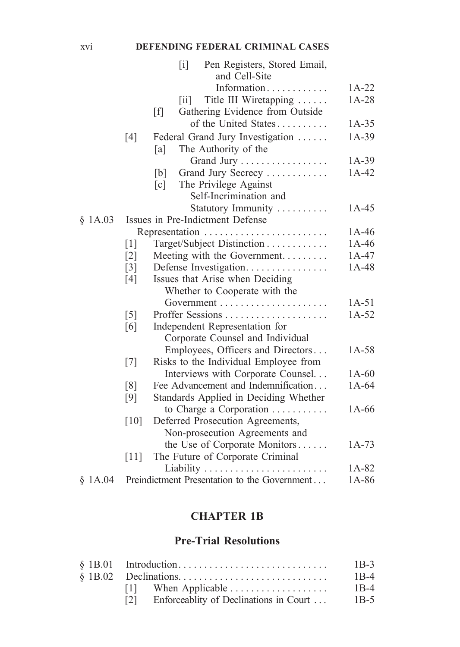### xvi **DEFENDING FEDERAL CRIMINAL CASES**

|         |                   | $\lceil i \rceil$<br>Pen Registers, Stored Email,  |         |
|---------|-------------------|----------------------------------------------------|---------|
|         |                   | and Cell-Site                                      |         |
|         |                   | Information                                        | $1A-22$ |
|         |                   | Title III Wiretapping<br>$\left[\text{iii}\right]$ | $1A-28$ |
|         |                   | [f]<br>Gathering Evidence from Outside             |         |
|         |                   | of the United States                               | $1A-35$ |
|         | [4]               | Federal Grand Jury Investigation                   | $1A-39$ |
|         |                   | The Authority of the<br>[a]                        |         |
|         |                   | Grand Jury                                         | $1A-39$ |
|         |                   | Grand Jury Secrecy<br>[b]                          | $1A-42$ |
|         |                   | The Privilege Against<br>$\lceil c \rceil$         |         |
|         |                   | Self-Incrimination and                             |         |
|         |                   | Statutory Immunity                                 | $1A-45$ |
| \$1A.03 |                   | Issues in Pre-Indictment Defense                   |         |
|         |                   | Representation                                     | $1A-46$ |
|         | $\lceil 1 \rceil$ | Target/Subject Distinction                         | $1A-46$ |
|         | $\lceil 2 \rceil$ | Meeting with the Government                        | $1A-47$ |
|         | $\lceil 3 \rceil$ | Defense Investigation                              | $1A-48$ |
|         | [4]               | Issues that Arise when Deciding                    |         |
|         |                   | Whether to Cooperate with the                      |         |
|         |                   |                                                    | $1A-51$ |
|         | $\lceil 5 \rceil$ |                                                    | $1A-52$ |
|         | [6]               | Independent Representation for                     |         |
|         |                   | Corporate Counsel and Individual                   |         |
|         |                   | Employees, Officers and Directors                  | $1A-58$ |
|         | [7]               | Risks to the Individual Employee from              |         |
|         |                   | Interviews with Corporate Counsel                  | $1A-60$ |
|         | $\lceil 8 \rceil$ | Fee Advancement and Indemnification                | $1A-64$ |
|         | [9]               | Standards Applied in Deciding Whether              |         |
|         |                   | to Charge a Corporation $\dots \dots \dots$        | $1A-66$ |
|         | [10]              | Deferred Prosecution Agreements,                   |         |
|         |                   | Non-prosecution Agreements and                     |         |
|         |                   | the Use of Corporate Monitors                      | $1A-73$ |
|         | $[11]$            | The Future of Corporate Criminal                   |         |
|         |                   |                                                    | 1A-82   |
| \$1A.04 |                   | Preindictment Presentation to the Government       | 1A-86   |

### **CHAPTER 1B**

### **Pre-Trial Resolutions**

|                                        | $1B-3$ |
|----------------------------------------|--------|
|                                        | $1B-4$ |
|                                        | $1B-4$ |
| Enforceablity of Declinations in Court | $1B-5$ |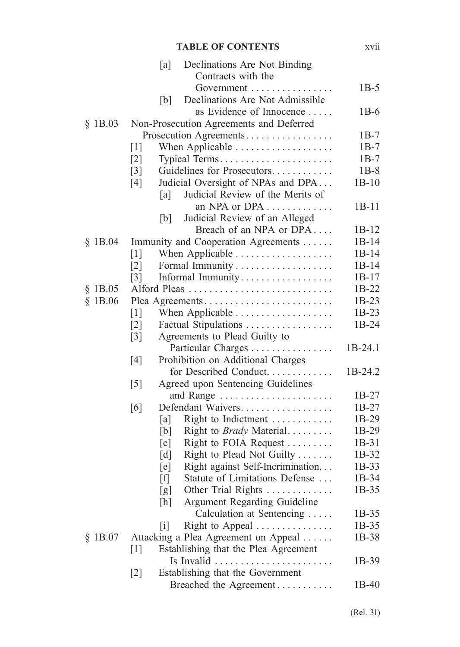### **TABLE OF CONTENTS** xvii

|           | [a]               | Declinations Are Not Binding            |           |
|-----------|-------------------|-----------------------------------------|-----------|
|           |                   | Contracts with the                      |           |
|           |                   |                                         | $1B-5$    |
|           | [b]               | Declinations Are Not Admissible         |           |
|           |                   | as Evidence of Innocence                | $1B-6$    |
| \$1B.03   |                   | Non-Prosecution Agreements and Deferred |           |
|           |                   | Prosecution Agreements                  | $1B-7$    |
|           | $\lceil 1 \rceil$ | When Applicable                         | $1B-7$    |
|           | $\lceil 2 \rceil$ | Typical Terms                           | $1B-7$    |
|           | $\lceil 3 \rceil$ | Guidelines for Prosecutors              | $1B-8$    |
|           | [4]               | Judicial Oversight of NPAs and DPA      | $1B-10$   |
|           | [a]               | Judicial Review of the Merits of        |           |
|           |                   | an NPA or DPA                           | $1B-11$   |
|           | [b]               | Judicial Review of an Alleged           |           |
|           |                   | Breach of an NPA or DPA                 | $1B-12$   |
| \$1B.04   |                   | Immunity and Cooperation Agreements     | $1B-14$   |
|           | $\lceil 1 \rceil$ |                                         | $1B-14$   |
|           | $\lceil 2 \rceil$ |                                         | $1B-14$   |
|           | $\lceil 3 \rceil$ | Informal Immunity                       | $1B-17$   |
| \$1B.05   |                   | Alford Pleas                            | 1B-22     |
| \$1B.06   |                   | Plea Agreements                         | 1B-23     |
|           | $\lceil 1 \rceil$ | When Applicable                         | 1B-23     |
|           | $\lceil 2 \rceil$ | Factual Stipulations                    | 1B-24     |
|           | $\lceil 3 \rceil$ | Agreements to Plead Guilty to           |           |
|           |                   | Particular Charges                      | 1B-24.1   |
|           | [4]               | Prohibition on Additional Charges       |           |
|           |                   | for Described Conduct                   | $1B-24.2$ |
|           | $\lceil 5 \rceil$ | Agreed upon Sentencing Guidelines       |           |
|           |                   |                                         | $1B-27$   |
|           | [6]               | Defendant Waivers                       | $1B-27$   |
|           | [a]               | Right to Indictment                     | 1B-29     |
|           | [b]               | Right to <i>Brady</i> Material          | 1B-29     |
|           | $\lceil c \rceil$ | Right to FOIA Request                   | 1B-31     |
|           | $\lceil d \rceil$ | Right to Plead Not Guilty               | 1B-32     |
|           | [e]               | Right against Self-Incrimination        | 1B-33     |
|           | ſfΙ               | Statute of Limitations Defense          | 1B-34     |
|           | [g]               | Other Trial Rights                      | $1B-35$   |
|           | [h]               | Argument Regarding Guideline            |           |
|           |                   | Calculation at Sentencing               | $1B-35$   |
|           | $\lceil i \rceil$ | Right to Appeal                         | 1B-35     |
| $§$ 1B.07 |                   | Attacking a Plea Agreement on Appeal    | 1B-38     |
|           | $\lceil 1 \rceil$ | Establishing that the Plea Agreement    |           |
|           |                   | $\ldots$ .                              | 1B-39     |
|           | $[2]$             | Establishing that the Government        |           |
|           |                   | Breached the Agreement                  | 1B-40     |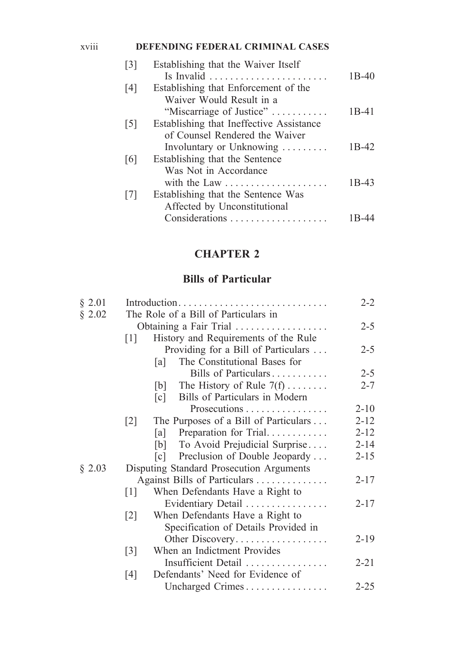### xviii **DEFENDING FEDERAL CRIMINAL CASES**

| $\lceil 3 \rceil$ | Establishing that the Waiver Itself      |                    |
|-------------------|------------------------------------------|--------------------|
|                   |                                          | $1B-40$            |
| [4]               | Establishing that Enforcement of the     |                    |
|                   | Waiver Would Result in a                 |                    |
|                   | "Miscarriage of Justice"                 | $1B-41$            |
| $\lceil 5 \rceil$ | Establishing that Ineffective Assistance |                    |
|                   | of Counsel Rendered the Waiver           |                    |
|                   | Involuntary or Unknowing                 | 1 <sub>B</sub> -42 |
| [6]               | Establishing that the Sentence           |                    |
|                   | Was Not in Accordance                    |                    |
|                   | with the Law                             | $1B-43$            |
| $\lceil 7 \rceil$ | Establishing that the Sentence Was       |                    |
|                   | Affected by Unconstitutional             |                    |
|                   | Considerations                           |                    |
|                   |                                          |                    |

# **CHAPTER 2**

### **Bills of Particular**

| § 2.01 | Introduction                         |                                                     |          |
|--------|--------------------------------------|-----------------------------------------------------|----------|
| § 2.02 | The Role of a Bill of Particulars in |                                                     |          |
|        | Obtaining a Fair Trial               |                                                     |          |
|        | $[1]$                                | History and Requirements of the Rule                |          |
|        |                                      | Providing for a Bill of Particulars                 | $2 - 5$  |
|        |                                      | The Constitutional Bases for<br>[a]                 |          |
|        |                                      | Bills of Particulars                                | $2 - 5$  |
|        |                                      | The History of Rule $7(f)$<br>[b]                   | $2 - 7$  |
|        |                                      | Bills of Particulars in Modern<br>$\lceil c \rceil$ |          |
|        |                                      | Prosecutions                                        | $2 - 10$ |
|        | $\lceil 2 \rceil$                    | The Purposes of a Bill of Particulars               | $2 - 12$ |
|        |                                      | Preparation for Trial<br>[a]                        | $2 - 12$ |
|        |                                      | [b] To Avoid Prejudicial Surprise                   | $2 - 14$ |
|        |                                      | Preclusion of Double Jeopardy<br>$\lceil c \rceil$  | $2 - 15$ |
| § 2.03 |                                      | Disputing Standard Prosecution Arguments            |          |
|        |                                      | Against Bills of Particulars                        | $2 - 17$ |
|        | $[1]$                                | When Defendants Have a Right to                     |          |
|        |                                      | Evidentiary Detail                                  | $2 - 17$ |
|        | $\lceil 2 \rceil$                    | When Defendants Have a Right to                     |          |
|        |                                      | Specification of Details Provided in                |          |
|        |                                      | Other Discovery                                     | $2 - 19$ |
|        | $\lceil 3 \rceil$                    | When an Indictment Provides                         |          |
|        |                                      | Insufficient Detail                                 | $2 - 21$ |
|        | [4]                                  | Defendants' Need for Evidence of                    |          |
|        |                                      | Uncharged Crimes                                    | $2 - 25$ |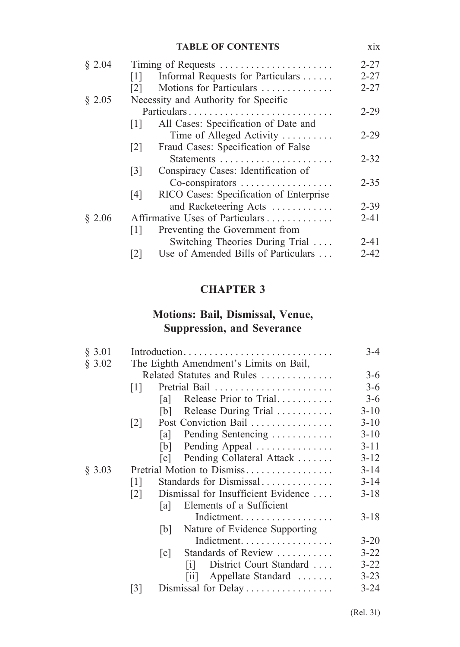#### **TABLE OF CONTENTS** xix

|                                                           | $2 - 27$           |
|-----------------------------------------------------------|--------------------|
| Informal Requests for Particulars<br>$\lceil 1 \rceil$    | $2 - 27$           |
| Motions for Particulars<br>$\lceil 2 \rceil$              | $2 - 27$           |
| Necessity and Authority for Specific                      |                    |
| Particulars                                               | $2 - 29$           |
| All Cases: Specification of Date and<br>$\lceil 1 \rceil$ |                    |
| Time of Alleged Activity                                  | $2 - 29$           |
| Fraud Cases: Specification of False<br>$\lceil 2 \rceil$  |                    |
|                                                           | $2 - 32$           |
| Conspiracy Cases: Identification of<br> 3                 |                    |
| Co-conspirators                                           | $2 - 35$           |
| RICO Cases: Specification of Enterprise<br>[4]            |                    |
| and Racketeering Acts                                     | $2 - 39$           |
| Affirmative Uses of Particulars                           | $2 - 41$           |
| Preventing the Government from<br> 1                      |                    |
| Switching Theories During Trial                           | $2 - 41$           |
| Use of Amended Bills of Particulars<br><u> 2 </u>         | 2-42               |
|                                                           | Timing of Requests |

# **CHAPTER 3**

### **Motions: Bail, Dismissal, Venue, Suppression, and Severance**

| § 3.01 |                            |      | Introduction                             | $3 - 4$  |
|--------|----------------------------|------|------------------------------------------|----------|
| § 3.02 |                            |      | The Eighth Amendment's Limits on Bail,   |          |
|        |                            |      | Related Statutes and Rules               | $3-6$    |
|        | 1                          |      |                                          | $3-6$    |
|        |                            | la I | Release Prior to Trial                   | $3 - 6$  |
|        |                            | b    | Release During Trial                     | $3 - 10$ |
|        | $\lceil 2 \rceil$          |      | Post Conviction Bail                     | $3 - 10$ |
|        |                            | a    | Pending Sentencing                       | $3-10$   |
|        |                            | b    | Pending Appeal                           | $3 - 11$ |
|        |                            | c    | Pending Collateral Attack                | $3 - 12$ |
| § 3.03 | Pretrial Motion to Dismiss |      |                                          | $3 - 14$ |
|        | $\lceil 1 \rceil$          |      | Standards for Dismissal                  | $3 - 14$ |
|        | $\lceil 2 \rceil$          |      | Dismissal for Insufficient Evidence      | $3-18$   |
|        |                            | a    | Elements of a Sufficient                 |          |
|        |                            |      | Indictment.                              | $3 - 18$ |
|        |                            | b    | Nature of Evidence Supporting            |          |
|        |                            |      | Indictment.                              | $3 - 20$ |
|        |                            | c    | Standards of Review                      | $3 - 22$ |
|        |                            |      | District Court Standard<br>$\mathbf{ii}$ | $3 - 22$ |
|        |                            |      | Appellate Standard<br>$\vert 11 \vert$   | $3 - 23$ |
|        | $\lceil 3 \rceil$          |      | Dismissal for Delay                      | $3 - 24$ |
|        |                            |      |                                          |          |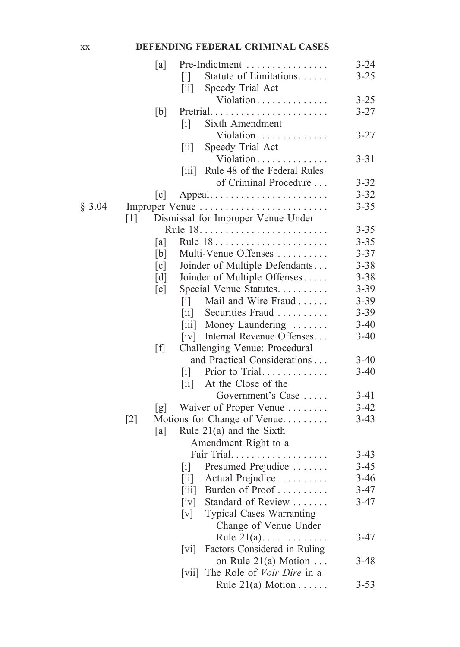### xx **DEFENDING FEDERAL CRIMINAL CASES**

|        |                   | [a]                                                   | Pre-Indictment                     | $3 - 24$ |
|--------|-------------------|-------------------------------------------------------|------------------------------------|----------|
|        |                   | $\lceil i \rceil$                                     | Statute of Limitations             | $3 - 25$ |
|        |                   | $\left[\text{iii}\right]$                             | Speedy Trial Act                   |          |
|        |                   |                                                       | Violation                          | $3 - 25$ |
|        |                   | [b]                                                   | Pretrial                           | $3 - 27$ |
|        |                   | $\lceil i \rceil$                                     | Sixth Amendment                    |          |
|        |                   |                                                       | Violation                          | $3 - 27$ |
|        |                   | 11                                                    | Speedy Trial Act                   |          |
|        |                   |                                                       | Violation                          | $3 - 31$ |
|        |                   | 111                                                   | Rule 48 of the Federal Rules       |          |
|        |                   |                                                       | of Criminal Procedure              | $3 - 32$ |
|        |                   | $\lceil c \rceil$                                     | Appeal                             | $3 - 32$ |
| § 3.04 |                   |                                                       | Improper Venue                     | $3 - 35$ |
|        | $\lceil 1 \rceil$ |                                                       | Dismissal for Improper Venue Under |          |
|        |                   |                                                       |                                    | $3 - 35$ |
|        |                   |                                                       | Rule 18                            | $3 - 35$ |
|        |                   | [a]                                                   | Multi-Venue Offenses               | $3 - 37$ |
|        |                   | [b]                                                   |                                    |          |
|        |                   | $\lceil c \rceil$                                     | Joinder of Multiple Defendants     | $3 - 38$ |
|        |                   | $\lceil d \rceil$                                     | Joinder of Multiple Offenses       | $3 - 38$ |
|        |                   | [e]                                                   | Special Venue Statutes             | $3 - 39$ |
|        |                   | $\left[ \text{i} \right]$                             | Mail and Wire Fraud                | $3 - 39$ |
|        |                   | $\left[ 11 \right]$                                   | Securities Fraud                   | $3 - 39$ |
|        |                   |                                                       | [iii] Money Laundering             | $3-40$   |
|        |                   |                                                       | [iv] Internal Revenue Offenses     | $3 - 40$ |
|        |                   | [f]                                                   | Challenging Venue: Procedural      |          |
|        |                   |                                                       | and Practical Considerations       | $3-40$   |
|        |                   | $\lceil i \rceil$                                     | Prior to Trial                     | $3 - 40$ |
|        |                   | $\left[\text{iii}\right]$                             | At the Close of the                |          |
|        |                   |                                                       | Government's Case                  | $3 - 41$ |
|        |                   | g                                                     | Waiver of Proper Venue             | $3 - 42$ |
|        | $[2]$             |                                                       | Motions for Change of Venue        | $3-43$   |
|        |                   | [a]                                                   | Rule $21(a)$ and the Sixth         |          |
|        |                   |                                                       | Amendment Right to a               |          |
|        |                   |                                                       | Fair Trial.                        | $3-43$   |
|        |                   | $\lceil i \rceil$                                     | Presumed Prejudice                 | $3 - 45$ |
|        |                   | $\left\lceil \text{i} \text{i} \right\rceil$          | Actual Prejudice                   | $3 - 46$ |
|        |                   | $\left\lceil \text{i} \text{i} \text{i} \right\rceil$ | Burden of Proof                    | $3 - 47$ |
|        |                   | $\left[\mathrm{iv}\right]$                            | Standard of Review                 | $3 - 47$ |
|        |                   | $\lceil v \rceil$                                     | <b>Typical Cases Warranting</b>    |          |
|        |                   |                                                       | Change of Venue Under              |          |
|        |                   |                                                       | Rule $21(a)$                       | $3-47$   |
|        |                   | $\lceil vi \rceil$                                    | Factors Considered in Ruling       |          |
|        |                   |                                                       | on Rule $21(a)$ Motion             | $3 - 48$ |
|        |                   | V11                                                   | The Role of <i>Voir Dire</i> in a  |          |
|        |                   |                                                       | Rule $21(a)$ Motion                | $3 - 53$ |
|        |                   |                                                       |                                    |          |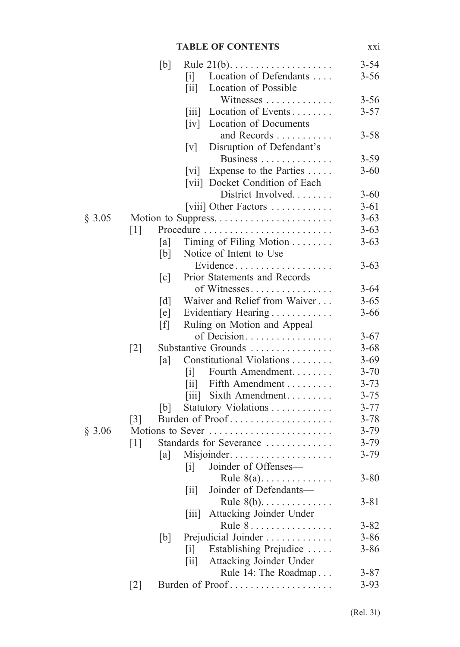### **TABLE OF CONTENTS** xxi

|        |                   | [b]               | Rule $21(b)$                                                     | $3 - 54$ |
|--------|-------------------|-------------------|------------------------------------------------------------------|----------|
|        |                   |                   | Location of Defendants<br>$\lceil i \rceil$                      | $3 - 56$ |
|        |                   |                   | Location of Possible<br>$\left[\text{iii}\right]$                |          |
|        |                   |                   | Witnesses                                                        | $3 - 56$ |
|        |                   |                   | Location of Events<br>$\left\lceil \text{iii} \right\rceil$      | $3 - 57$ |
|        |                   |                   | Location of Documents<br>$\lceil iv \rceil$                      |          |
|        |                   |                   | and Records                                                      | $3 - 58$ |
|        |                   |                   | Disruption of Defendant's<br>$\lceil v \rceil$                   |          |
|        |                   |                   | Business                                                         | $3 - 59$ |
|        |                   |                   | Expense to the Parties<br>$\lceil vi \rceil$                     | $3 - 60$ |
|        |                   |                   | [vii] Docket Condition of Each                                   |          |
|        |                   |                   | District Involved                                                | $3 - 60$ |
|        |                   |                   | [viii] Other Factors                                             | $3 - 61$ |
| § 3.05 |                   |                   |                                                                  | $3 - 63$ |
|        | $\lceil 1 \rceil$ |                   |                                                                  | $3 - 63$ |
|        |                   | [a]               | Timing of Filing Motion                                          | $3 - 63$ |
|        |                   | [b]               | Notice of Intent to Use                                          |          |
|        |                   |                   | Evidence                                                         | $3 - 63$ |
|        |                   | $\lceil c \rceil$ | Prior Statements and Records                                     |          |
|        |                   |                   | of Witnesses                                                     | $3 - 64$ |
|        |                   |                   | Waiver and Relief from Waiver                                    | $3 - 65$ |
|        |                   | $\lceil d \rceil$ |                                                                  | $3 - 66$ |
|        |                   | [e]               | Evidentiary Hearing                                              |          |
|        |                   | [f]               | Ruling on Motion and Appeal                                      |          |
|        |                   |                   | of Decision                                                      | $3 - 67$ |
|        | $[2]$             |                   | Substantive Grounds                                              | $3 - 68$ |
|        |                   | [a]               | Constitutional Violations                                        | $3 - 69$ |
|        |                   |                   | Fourth Amendment<br>$\lceil i \rceil$                            | $3 - 70$ |
|        |                   |                   | Fifth Amendment<br>$\left[\text{iii}\right]$                     | $3 - 73$ |
|        |                   |                   | Sixth Amendment<br>$\left[ 111 \right]$                          | $3 - 75$ |
|        |                   | b                 | Statutory Violations                                             | $3 - 77$ |
|        | $\lceil 3 \rceil$ |                   | Burden of Proof                                                  | $3 - 78$ |
| \$3.06 |                   |                   | Motions to Sever                                                 | $3 - 79$ |
|        | $\lceil 1 \rceil$ |                   | Standards for Severance                                          | $3 - 79$ |
|        |                   | [a]               | Misjoinder                                                       | $3 - 79$ |
|        |                   |                   | Joinder of Offenses-<br> 1                                       |          |
|        |                   |                   | Rule $8(a)$                                                      | $3 - 80$ |
|        |                   |                   | Joinder of Defendants-<br>$\left[ \text{ii} \right]$             |          |
|        |                   |                   | Rule $8(b)$                                                      | $3 - 81$ |
|        |                   |                   | Attacking Joinder Under<br>$\left\lceil \text{iii} \right\rceil$ |          |
|        |                   |                   | Rule 8.                                                          | $3 - 82$ |
|        |                   | [b]               | Prejudicial Joinder                                              | $3 - 86$ |
|        |                   |                   | Establishing Prejudice<br>$\lceil i \rceil$                      | $3 - 86$ |
|        |                   |                   | Attacking Joinder Under<br>$\left[\text{iii}\right]$             |          |
|        |                   |                   | Rule 14: The Roadmap                                             | $3 - 87$ |
|        | $[2]$             |                   | Burden of Proof                                                  | $3 - 93$ |
|        |                   |                   |                                                                  |          |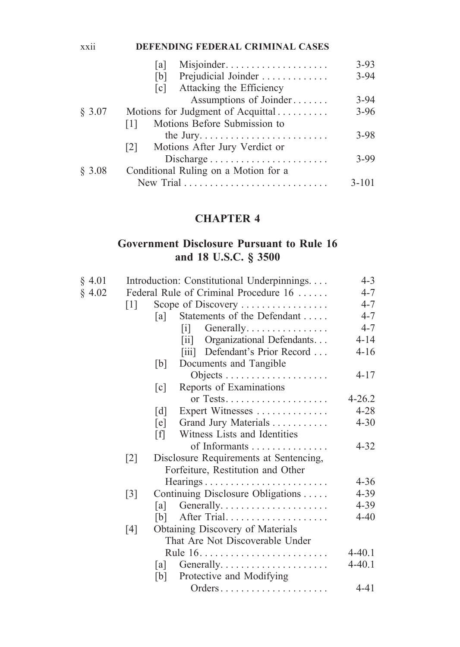#### xxii **DEFENDING FEDERAL CRIMINAL CASES**

|        | Misjoinder<br>lal                       | $3 - 93$  |
|--------|-----------------------------------------|-----------|
|        | Prejudicial Joinder<br>[b]              | $3 - 94$  |
|        | Attacking the Efficiency<br> c          |           |
|        | Assumptions of Joinder                  | $3 - 94$  |
| § 3.07 | Motions for Judgment of Acquittal       | $3 - 96$  |
|        | Motions Before Submission to<br>$\perp$ |           |
|        |                                         | $3 - 98$  |
|        | Motions After Jury Verdict or<br> 2     |           |
|        | Discharge                               | $3 - 99$  |
| \$3.08 | Conditional Ruling on a Motion for a    |           |
|        |                                         | $3 - 101$ |
|        |                                         |           |

# **CHAPTER 4**

### **Government Disclosure Pursuant to Rule 16 and 18 U.S.C. § 3500**

| § 4.01 |                   |                                       | Introduction: Constitutional Underpinnings | $4 - 3$<br>$4 - 7$ |  |  |  |
|--------|-------------------|---------------------------------------|--------------------------------------------|--------------------|--|--|--|
| § 4.02 |                   | Federal Rule of Criminal Procedure 16 |                                            |                    |  |  |  |
|        | $\lceil 1 \rceil$ |                                       | Scope of Discovery                         | $4 - 7$            |  |  |  |
|        |                   | a                                     | Statements of the Defendant                | $4 - 7$            |  |  |  |
|        |                   |                                       | $[i]$ Generally                            | $4 - 7$            |  |  |  |
|        |                   |                                       | [ii] Organizational Defendants             | $4 - 14$           |  |  |  |
|        |                   |                                       | [iii] Defendant's Prior Record             | $4 - 16$           |  |  |  |
|        |                   | [b]                                   | Documents and Tangible                     |                    |  |  |  |
|        |                   |                                       |                                            | $4 - 17$           |  |  |  |
|        |                   | $\lceil c \rceil$                     | Reports of Examinations                    |                    |  |  |  |
|        |                   |                                       |                                            | $4 - 26.2$         |  |  |  |
|        |                   | $\lceil d \rceil$                     | Expert Witnesses                           | $4 - 28$           |  |  |  |
|        |                   | [e]                                   | Grand Jury Materials                       | $4 - 30$           |  |  |  |
|        |                   | [f]                                   | Witness Lists and Identities               |                    |  |  |  |
|        |                   |                                       | of Informants                              | $4 - 32$           |  |  |  |
|        | $[2]$             |                                       | Disclosure Requirements at Sentencing,     |                    |  |  |  |
|        |                   |                                       | Forfeiture, Restitution and Other          |                    |  |  |  |
|        |                   |                                       |                                            | $4 - 36$           |  |  |  |
|        | $\lceil 3 \rceil$ |                                       | Continuing Disclosure Obligations          | 4-39               |  |  |  |
|        |                   | [a]                                   |                                            | 4-39               |  |  |  |
|        |                   | [b]                                   | After Trial                                | $4 - 40$           |  |  |  |
|        | [4]               |                                       | Obtaining Discovery of Materials           |                    |  |  |  |
|        |                   |                                       | That Are Not Discoverable Under            |                    |  |  |  |
|        |                   |                                       |                                            | $4 - 40.1$         |  |  |  |
|        |                   | [a]                                   |                                            | $4 - 40.1$         |  |  |  |
|        |                   | [b]                                   | Protective and Modifying                   |                    |  |  |  |
|        |                   |                                       | Orders                                     | 4-41               |  |  |  |
|        |                   |                                       |                                            |                    |  |  |  |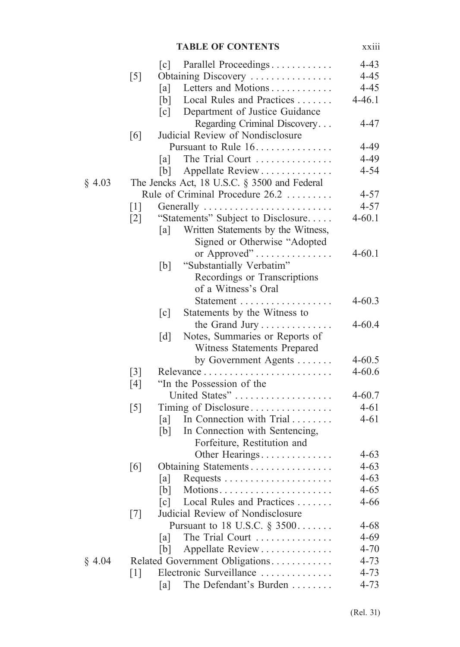|        |                   | <b>TABLE OF CONTENTS</b>                            | <b>XX111</b>             |
|--------|-------------------|-----------------------------------------------------|--------------------------|
|        |                   | Parallel Proceedings<br>$\lceil c \rceil$           | $4 - 43$                 |
|        | $\lceil 5 \rceil$ | Obtaining Discovery                                 | $4 - 45$                 |
|        |                   | Letters and Motions<br>[a]                          | $4 - 45$                 |
|        |                   | Local Rules and Practices<br>[b]                    | $4 - 46.1$               |
|        |                   | Department of Justice Guidance<br>$\lceil c \rceil$ |                          |
|        |                   | Regarding Criminal Discovery                        | $4 - 47$                 |
|        | [6]               | Judicial Review of Nondisclosure                    |                          |
|        |                   | Pursuant to Rule 16.                                | 4-49                     |
|        |                   | The Trial Court<br>[a]                              | 4-49                     |
|        |                   | Appellate Review<br>[b]                             | $4 - 54$                 |
| § 4.03 |                   | The Jencks Act, 18 U.S.C. § 3500 and Federal        |                          |
|        |                   | Rule of Criminal Procedure 26.2                     | $4 - 57$                 |
|        | $\lceil 1 \rceil$ | Generally                                           | $4 - 57$                 |
|        | $\lceil 2 \rceil$ | "Statements" Subject to Disclosure                  | $4 - 60.1$               |
|        |                   | Written Statements by the Witness,<br>[a]           |                          |
|        |                   | Signed or Otherwise "Adopted                        |                          |
|        |                   | or Approved" $\dots\dots\dots\dots\dots$            | $4 - 60.1$               |
|        |                   | "Substantially Verbatim"<br>[b]                     |                          |
|        |                   | Recordings or Transcriptions                        |                          |
|        |                   | of a Witness's Oral                                 |                          |
|        |                   |                                                     | $4 - 60.3$               |
|        |                   | Statements by the Witness to<br>$\lceil c \rceil$   |                          |
|        |                   |                                                     | $4 - 60.4$               |
|        |                   | Notes, Summaries or Reports of<br>$\lceil d \rceil$ |                          |
|        |                   | Witness Statements Prepared                         |                          |
|        |                   | by Government Agents                                | $4 - 60.5$<br>$4 - 60.6$ |
|        | $[3]$<br>[4]      | Relevance<br>"In the Possession of the              |                          |
|        |                   | United States"                                      | $4 - 60.7$               |
|        | $\lceil 5 \rceil$ | Timing of Disclosure                                | $4 - 61$                 |
|        |                   | In Connection with Trial<br>[a]                     | $4 - 61$                 |
|        |                   | In Connection with Sentencing,<br>[b]               |                          |
|        |                   | Forfeiture, Restitution and                         |                          |
|        |                   | Other Hearings                                      | $4 - 63$                 |
|        | $\lceil 6 \rceil$ | Obtaining Statements                                | $4 - 63$                 |
|        |                   | [a]                                                 | $4 - 63$                 |
|        |                   | [b]<br>Motions                                      | $4 - 65$                 |
|        |                   | Local Rules and Practices<br>$\lceil c \rceil$      | $4 - 66$                 |
|        | [7]               | Judicial Review of Nondisclosure                    |                          |
|        |                   | Pursuant to 18 U.S.C. $\S$ 3500                     | $4 - 68$                 |
|        |                   | The Trial Court<br> a                               | $4 - 69$                 |
|        |                   | Appellate Review<br>[b]                             | $4 - 70$                 |
| § 4.04 |                   | Related Government Obligations                      | $4 - 73$                 |
|        | $\lceil 1 \rceil$ | Electronic Surveillance                             | $4 - 73$                 |
|        |                   | The Defendant's Burden<br>[a]                       | $4 - 73$                 |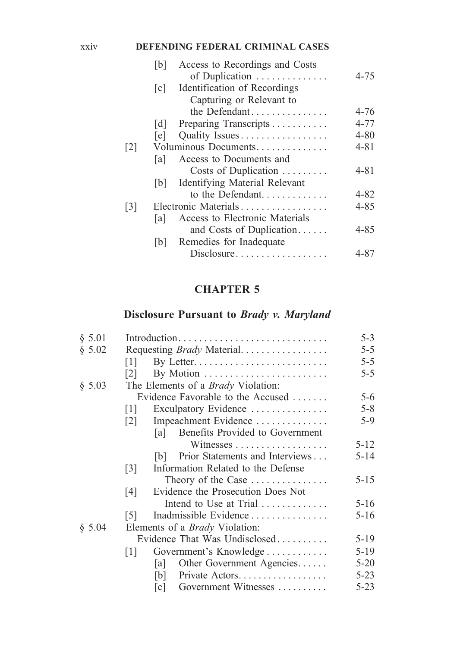#### xxiv **DEFENDING FEDERAL CRIMINAL CASES**

|                   | [b]               | Access to Recordings and Costs         |          |
|-------------------|-------------------|----------------------------------------|----------|
|                   |                   | of Duplication                         | $4 - 75$ |
|                   | $\lceil c \rceil$ | Identification of Recordings           |          |
|                   |                   | Capturing or Relevant to               |          |
|                   |                   | the Defendant                          | $4 - 76$ |
|                   | [d]               | Preparing Transcripts                  | $4 - 77$ |
|                   | [e]               | Quality Issues                         | $4 - 80$ |
| $\lceil 2 \rceil$ |                   | Voluminous Documents                   | $4 - 81$ |
|                   | la l              | Access to Documents and                |          |
|                   |                   | Costs of Duplication $\dots\dots\dots$ | $4 - 81$ |
|                   | b                 | <b>Identifying Material Relevant</b>   |          |
|                   |                   | to the Defendant                       | $4 - 82$ |
| $\lceil 3 \rceil$ |                   | Electronic Materials                   | $4 - 85$ |
|                   | lal               | Access to Electronic Materials         |          |
|                   |                   | and Costs of Duplication               | 4-85     |
|                   | [b]               | Remedies for Inadequate                |          |
|                   |                   | Disclosure                             | 4-87     |
|                   |                   |                                        |          |

# **CHAPTER 5**

### **Disclosure Pursuant to** *Brady v. Maryland*

| § 5.01 |                                                         | $5 - 3$  |  |  |  |
|--------|---------------------------------------------------------|----------|--|--|--|
| \$5.02 | Requesting Brady Material                               | $5 - 5$  |  |  |  |
|        | 111                                                     | $5 - 5$  |  |  |  |
|        | By Motion<br>121                                        | $5 - 5$  |  |  |  |
| § 5.03 | The Elements of a <i>Brady</i> Violation:               |          |  |  |  |
|        | Evidence Favorable to the Accused                       | $5 - 6$  |  |  |  |
|        | Exculpatory Evidence<br>111                             | $5 - 8$  |  |  |  |
|        | Impeachment Evidence<br> 2                              | $5-9$    |  |  |  |
|        | Benefits Provided to Government<br>lal I                |          |  |  |  |
|        |                                                         | $5 - 12$ |  |  |  |
|        | Prior Statements and Interviews<br> b                   | $5 - 14$ |  |  |  |
|        | Information Related to the Defense<br>$\lceil 3 \rceil$ |          |  |  |  |
|        | Theory of the Case                                      | $5 - 15$ |  |  |  |
|        | Evidence the Prosecution Does Not<br>[4]                |          |  |  |  |
|        | Intend to Use at Trial $\ldots$                         | $5 - 16$ |  |  |  |
|        | Inadmissible Evidence<br>[5]                            | $5 - 16$ |  |  |  |
| \$5.04 | Elements of a <i>Brady</i> Violation:                   |          |  |  |  |
|        | Evidence That Was Undisclosed                           | $5-19$   |  |  |  |
|        | Government's Knowledge<br>111                           | $5 - 19$ |  |  |  |
|        | Other Government Agencies<br>la l                       | $5 - 20$ |  |  |  |
|        | Private Actors<br>[b]                                   | $5 - 23$ |  |  |  |
|        | Government Witnesses<br>$\lceil c \rceil$               | $5 - 23$ |  |  |  |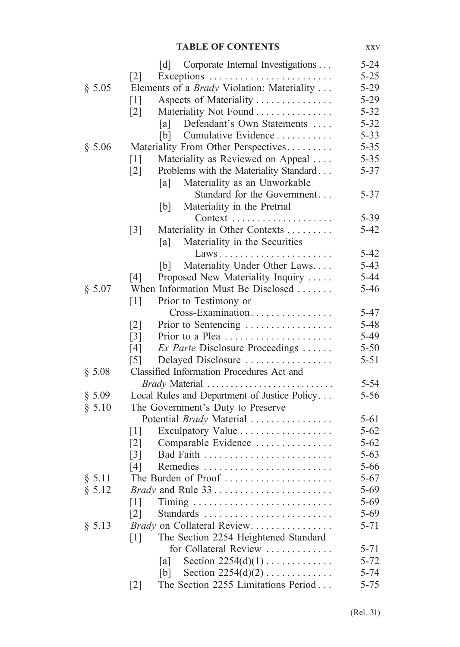#### **TABLE OF CONTENTS** xxv

|        | Corporate Internal Investigations<br>$\lceil d \rceil$      | $5 - 24$ |
|--------|-------------------------------------------------------------|----------|
|        | $\lceil 2 \rceil$                                           | $5 - 25$ |
| § 5.05 | Elements of a <i>Brady</i> Violation: Materiality           | $5 - 29$ |
|        | Aspects of Materiality<br>$\lceil 1 \rceil$                 | $5 - 29$ |
|        | Materiality Not Found<br>$\lceil 2 \rceil$                  | $5 - 32$ |
|        | Defendant's Own Statements<br> a                            | $5 - 32$ |
|        | [b]<br>Cumulative Evidence                                  | $5 - 33$ |
| § 5.06 | Materiality From Other Perspectives                         | $5 - 35$ |
|        | Materiality as Reviewed on Appeal<br>$\lceil 1 \rceil$      | $5 - 35$ |
|        | Problems with the Materiality Standard<br>$\lceil 2 \rceil$ | $5 - 37$ |
|        | Materiality as an Unworkable<br>[a]                         |          |
|        | Standard for the Government                                 | $5 - 37$ |
|        | Materiality in the Pretrial<br>[b]                          |          |
|        |                                                             | $5 - 39$ |
|        | Materiality in Other Contexts<br>$\lceil 3 \rceil$          | $5 - 42$ |
|        | Materiality in the Securities<br>[a]                        |          |
|        | Laws                                                        | $5 - 42$ |
|        | Materiality Under Other Laws<br>[b]                         | $5 - 43$ |
|        | [4]<br>Proposed New Materiality Inquiry                     | $5 - 44$ |
| § 5.07 | When Information Must Be Disclosed                          | $5 - 46$ |
|        | $\lceil 1 \rceil$<br>Prior to Testimony or                  |          |
|        | Cross-Examination                                           | $5 - 47$ |
|        | $\lceil 2 \rceil$<br>Prior to Sentencing                    | $5 - 48$ |
|        | Prior to a Plea<br>$\lceil 3 \rceil$                        | 5-49     |
|        | Ex Parte Disclosure Proceedings<br>[4]                      | $5 - 50$ |
|        | $\lceil 5 \rceil$<br>Delayed Disclosure                     | $5 - 51$ |
| § 5.08 | Classified Information Procedures Act and                   |          |
|        | Brady Material                                              | $5 - 54$ |
| § 5.09 | Local Rules and Department of Justice Policy                | $5 - 56$ |
| § 5.10 | The Government's Duty to Preserve                           |          |
|        | Potential <i>Brady</i> Material                             | $5 - 61$ |
|        | Exculpatory Value<br>$\lceil 1 \rceil$                      | $5 - 62$ |
|        | Comparable Evidence<br>$\lceil 2 \rceil$                    | $5 - 62$ |
|        | $\lceil 3 \rceil$<br>Bad Faith                              | $5 - 63$ |
|        | [4]                                                         | $5 - 66$ |
| § 5.11 | The Burden of Proof                                         | $5 - 67$ |
| § 5.12 |                                                             | $5 - 69$ |
|        | $\lceil 1 \rceil$                                           | $5 - 69$ |
|        | $\lceil 2 \rceil$                                           | $5 - 69$ |
| § 5.13 | <i>Brady</i> on Collateral Review                           | $5 - 71$ |
|        | The Section 2254 Heightened Standard<br>$\lceil 1 \rceil$   |          |
|        | for Collateral Review                                       | 5-71     |
|        | Section $2254(d)(1)$<br> a                                  | $5 - 72$ |
|        | Section $2254(d)(2)$<br>[b]                                 | $5 - 74$ |
|        | The Section 2255 Limitations Period<br>$\lceil 2 \rceil$    | $5 - 75$ |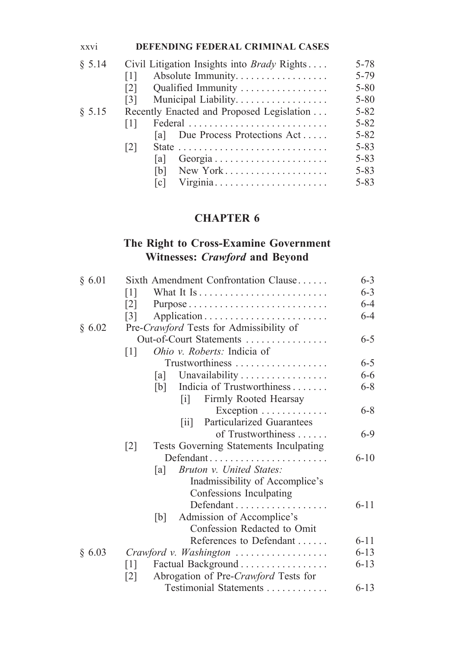#### xxvi **DEFENDING FEDERAL CRIMINAL CASES**

| \$5.14 |                   | Civil Litigation Insights into <i>Brady</i> Rights                     | $5 - 78$ |
|--------|-------------------|------------------------------------------------------------------------|----------|
|        | $\lceil 1 \rceil$ | Absolute Immunity                                                      | 5-79     |
|        | $\lceil 2 \rceil$ | Qualified Immunity                                                     | $5 - 80$ |
|        | [3]               | Municipal Liability.                                                   | $5 - 80$ |
| § 5.15 |                   | Recently Enacted and Proposed Legislation                              | $5 - 82$ |
|        | 111               | Federal                                                                | $5 - 82$ |
|        |                   | Due Process Protections Act<br>lal                                     | $5 - 82$ |
|        | 2                 | State $\ldots \ldots \ldots \ldots \ldots \ldots \ldots \ldots \ldots$ | $5 - 83$ |
|        |                   | la I                                                                   | $5 - 83$ |
|        |                   | New York<br>1b I                                                       | $5 - 83$ |
|        |                   | Virginia<br>lc l                                                       | $5 - 83$ |
|        |                   |                                                                        |          |

# **CHAPTER 6**

### **The Right to Cross-Examine Government Witnesses:** *Crawford* **and Beyond**

| Sixth Amendment Confrontation Clause                              | $6 - 3$                                                                                                                                                                                                                                                                                                                                                                                                                 |  |  |  |
|-------------------------------------------------------------------|-------------------------------------------------------------------------------------------------------------------------------------------------------------------------------------------------------------------------------------------------------------------------------------------------------------------------------------------------------------------------------------------------------------------------|--|--|--|
| $\lceil 1 \rceil$                                                 | $6 - 3$                                                                                                                                                                                                                                                                                                                                                                                                                 |  |  |  |
| $\lceil 2 \rceil$                                                 | $6 - 4$                                                                                                                                                                                                                                                                                                                                                                                                                 |  |  |  |
| $\lceil 3 \rceil$                                                 | $6 - 4$                                                                                                                                                                                                                                                                                                                                                                                                                 |  |  |  |
| Pre-Crawford Tests for Admissibility of                           |                                                                                                                                                                                                                                                                                                                                                                                                                         |  |  |  |
| Out-of-Court Statements                                           | $6 - 5$                                                                                                                                                                                                                                                                                                                                                                                                                 |  |  |  |
| <i>Ohio v. Roberts:</i> Indicia of<br>$\lceil 1 \rceil$           |                                                                                                                                                                                                                                                                                                                                                                                                                         |  |  |  |
| Trustworthiness                                                   | $6 - 5$                                                                                                                                                                                                                                                                                                                                                                                                                 |  |  |  |
| a                                                                 | $6 - 6$                                                                                                                                                                                                                                                                                                                                                                                                                 |  |  |  |
| [b]                                                               | $6 - 8$                                                                                                                                                                                                                                                                                                                                                                                                                 |  |  |  |
| lil                                                               |                                                                                                                                                                                                                                                                                                                                                                                                                         |  |  |  |
|                                                                   | $6 - 8$                                                                                                                                                                                                                                                                                                                                                                                                                 |  |  |  |
| <b>Particularized Guarantees</b><br>$\left\lceil 11 \right\rceil$ |                                                                                                                                                                                                                                                                                                                                                                                                                         |  |  |  |
| of Trustworthiness                                                | $6 - 9$                                                                                                                                                                                                                                                                                                                                                                                                                 |  |  |  |
|                                                                   |                                                                                                                                                                                                                                                                                                                                                                                                                         |  |  |  |
| Defendant                                                         |                                                                                                                                                                                                                                                                                                                                                                                                                         |  |  |  |
| a                                                                 |                                                                                                                                                                                                                                                                                                                                                                                                                         |  |  |  |
|                                                                   |                                                                                                                                                                                                                                                                                                                                                                                                                         |  |  |  |
|                                                                   |                                                                                                                                                                                                                                                                                                                                                                                                                         |  |  |  |
|                                                                   | $6 - 11$                                                                                                                                                                                                                                                                                                                                                                                                                |  |  |  |
|                                                                   |                                                                                                                                                                                                                                                                                                                                                                                                                         |  |  |  |
| Confession Redacted to Omit                                       |                                                                                                                                                                                                                                                                                                                                                                                                                         |  |  |  |
|                                                                   | $6 - 11$                                                                                                                                                                                                                                                                                                                                                                                                                |  |  |  |
|                                                                   | $6 - 13$                                                                                                                                                                                                                                                                                                                                                                                                                |  |  |  |
|                                                                   | $6 - 13$                                                                                                                                                                                                                                                                                                                                                                                                                |  |  |  |
| $\lceil 2 \rceil$                                                 |                                                                                                                                                                                                                                                                                                                                                                                                                         |  |  |  |
| Testimonial Statements                                            | $6 - 13$                                                                                                                                                                                                                                                                                                                                                                                                                |  |  |  |
|                                                                   | Unavailability<br>Indicia of Trustworthiness<br>Firmly Rooted Hearsay<br>Exception<br>Tests Governing Statements Inculpating<br>$\lceil 2 \rceil$<br>Bruton v. United States:<br>Inadmissibility of Accomplice's<br>Confessions Inculpating<br>Admission of Accomplice's<br>[b]<br>References to Defendant<br>Crawford v. Washington<br>Factual Background<br>$\lceil 1 \rceil$<br>Abrogation of Pre-Crawford Tests for |  |  |  |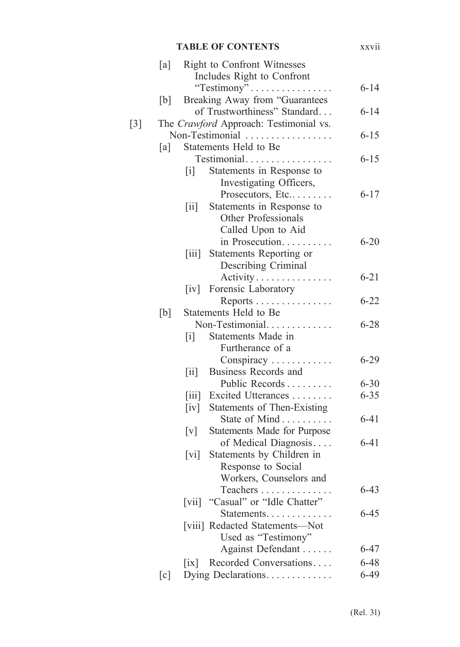|                   | <b>TABLE OF CONTENTS</b> |                                                |                                                                    |          |  |
|-------------------|--------------------------|------------------------------------------------|--------------------------------------------------------------------|----------|--|
|                   | [a]                      |                                                | Right to Confront Witnesses                                        |          |  |
|                   |                          |                                                | Includes Right to Confront                                         |          |  |
|                   |                          |                                                | "Testimony"                                                        | $6 - 14$ |  |
|                   | [b]                      |                                                | Breaking Away from "Guarantees                                     |          |  |
|                   |                          |                                                | of Trustworthiness" Standard                                       | $6 - 14$ |  |
| $\lceil 3 \rceil$ |                          |                                                | The Crawford Approach: Testimonial vs.                             |          |  |
|                   |                          |                                                | Non-Testimonial                                                    | $6 - 15$ |  |
|                   | [a]                      |                                                | Statements Held to Be                                              |          |  |
|                   |                          |                                                | Testimonial                                                        | $6 - 15$ |  |
|                   |                          | [i]                                            | Statements in Response to                                          |          |  |
|                   |                          |                                                | Investigating Officers,                                            |          |  |
|                   |                          |                                                | Prosecutors, Etc                                                   | $6 - 17$ |  |
|                   |                          | $\left\lceil \text{i} \mathbf{i} \right\rceil$ | Statements in Response to                                          |          |  |
|                   |                          |                                                | Other Professionals                                                |          |  |
|                   |                          |                                                | Called Upon to Aid                                                 |          |  |
|                   |                          |                                                | in Prosecution<br>$\mathbb{Z}^2$ . $\mathbb{Z}^2$ , $\mathbb{Z}^2$ | $6 - 20$ |  |
|                   |                          | $\left[ 111 \right]$                           | Statements Reporting or                                            |          |  |
|                   |                          |                                                | Describing Criminal                                                |          |  |
|                   |                          |                                                | Activity                                                           | $6 - 21$ |  |
|                   |                          |                                                | [iv] Forensic Laboratory                                           |          |  |
|                   |                          |                                                | Reports                                                            | $6 - 22$ |  |
|                   | [b]                      |                                                | Statements Held to Be                                              |          |  |
|                   |                          |                                                | Non-Testimonial                                                    | $6 - 28$ |  |
|                   |                          | $\begin{bmatrix} 1 \end{bmatrix}$              | Statements Made in                                                 |          |  |
|                   |                          |                                                | Furtherance of a                                                   |          |  |
|                   |                          |                                                | Conspiracy                                                         | $6 - 29$ |  |
|                   |                          | $\left[\text{iii}\right]$                      | Business Records and                                               |          |  |
|                   |                          |                                                | Public Records                                                     | $6 - 30$ |  |
|                   |                          |                                                | [iii] Excited Utterances                                           | $6 - 35$ |  |
|                   |                          |                                                | [iv] Statements of Then-Existing                                   |          |  |
|                   |                          |                                                | State of Mind                                                      | $6 - 41$ |  |
|                   |                          | $\lceil v \rceil$                              | Statements Made for Purpose                                        |          |  |
|                   |                          |                                                | of Medical Diagnosis                                               | $6 - 41$ |  |
|                   |                          | $\lceil vi \rceil$                             | Statements by Children in                                          |          |  |
|                   |                          |                                                | Response to Social                                                 |          |  |
|                   |                          |                                                | Workers, Counselors and                                            |          |  |
|                   |                          |                                                | Teachers                                                           | $6 - 43$ |  |
|                   |                          | $\lceil \nabla$ vii $\rceil$                   | "Casual" or "Idle Chatter"                                         |          |  |
|                   |                          |                                                | Statements.                                                        | $6 - 45$ |  |
|                   |                          |                                                | [viii] Redacted Statements-Not                                     |          |  |
|                   |                          |                                                | Used as "Testimony"                                                |          |  |
|                   |                          |                                                | Against Defendant                                                  | $6 - 47$ |  |
|                   |                          | $\lceil i \mathbf{x} \rceil$                   | Recorded Conversations                                             | $6 - 48$ |  |
|                   | [c]                      |                                                | Dying Declarations.                                                | $6-49$   |  |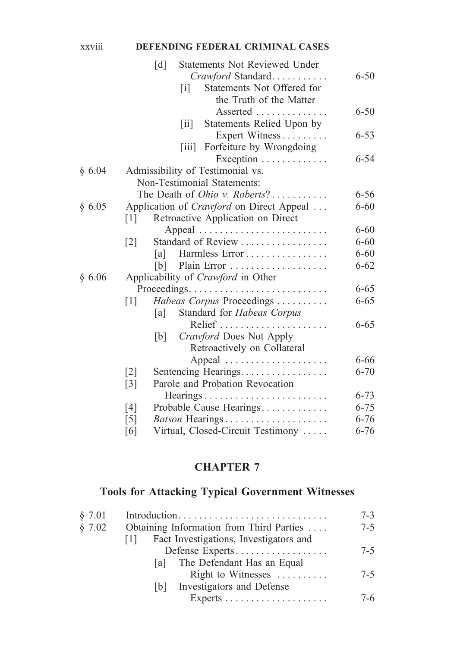#### xxviii **DEFENDING FEDERAL CRIMINAL CASES**

|        |                   | $\lceil d \rceil$ |                   | <b>Statements Not Reviewed Under</b>            |          |
|--------|-------------------|-------------------|-------------------|-------------------------------------------------|----------|
|        |                   |                   |                   | Crawford Standard                               | $6 - 50$ |
|        |                   |                   | $\lceil i \rceil$ | Statements Not Offered for                      |          |
|        |                   |                   |                   | the Truth of the Matter                         |          |
|        |                   |                   |                   | Asserted                                        | $6 - 50$ |
|        |                   |                   | $\overline{[ii]}$ | Statements Relied Upon by                       |          |
|        |                   |                   |                   | Expert Witness                                  | $6 - 53$ |
|        |                   |                   | 111               | Forfeiture by Wrongdoing                        |          |
|        |                   |                   |                   | Exception                                       | 6-54     |
| § 6.04 |                   |                   |                   | Admissibility of Testimonial vs.                |          |
|        |                   |                   |                   | Non-Testimonial Statements:                     |          |
|        |                   |                   |                   | The Death of <i>Ohio v. Roberts</i> ?           | $6 - 56$ |
| § 6.05 |                   |                   |                   | Application of <i>Crawford</i> on Direct Appeal | $6 - 60$ |
|        | $\lceil 1 \rceil$ |                   |                   | Retroactive Application on Direct               |          |
|        |                   |                   |                   |                                                 | $6 - 60$ |
|        | $\lceil 2 \rceil$ |                   |                   | Standard of Review                              | $6 - 60$ |
|        |                   | la l              |                   | Harmless Error                                  | $6 - 60$ |
|        |                   |                   |                   | $[b]$ Plain Error                               | $6 - 62$ |
| § 6.06 |                   |                   |                   | Applicability of <i>Crawford</i> in Other       |          |
|        |                   |                   |                   | Proceedings                                     | $6 - 65$ |
|        | $\lceil 1 \rceil$ |                   |                   | Habeas Corpus Proceedings                       | $6 - 65$ |
|        |                   | [a]               |                   | Standard for Habeas Corpus                      |          |
|        |                   |                   |                   |                                                 | $6 - 65$ |
|        |                   | b                 |                   | Crawford Does Not Apply                         |          |
|        |                   |                   |                   | Retroactively on Collateral                     |          |
|        |                   |                   |                   | Appeal                                          | 6-66     |
|        | $\lceil 2 \rceil$ |                   |                   | Sentencing Hearings.                            | $6 - 70$ |
|        | $\lceil 3 \rceil$ |                   |                   | Parole and Probation Revocation                 |          |
|        |                   |                   |                   | Hearings                                        | $6 - 73$ |
|        | [4]               |                   |                   | Probable Cause Hearings                         | $6 - 75$ |
|        | $\lceil 5 \rceil$ |                   |                   | Batson Hearings                                 | $6 - 76$ |
|        | [6]               |                   |                   | Virtual, Closed-Circuit Testimony               | $6 - 76$ |

# **CHAPTER 7**

# **Tools for Attacking Typical Government Witnesses**

| § 7.01 |                                               | $7 - 3$ |  |
|--------|-----------------------------------------------|---------|--|
| § 7.02 | Obtaining Information from Third Parties      | $7 - 5$ |  |
|        | Fact Investigations, Investigators and<br>111 |         |  |
|        | Defense Experts                               | $7 - 5$ |  |
|        | [a] The Defendant Has an Equal                |         |  |
|        | Right to Witnesses $\dots \dots$              | $7 - 5$ |  |
|        | [b] Investigators and Defense                 |         |  |
|        |                                               | 7-6     |  |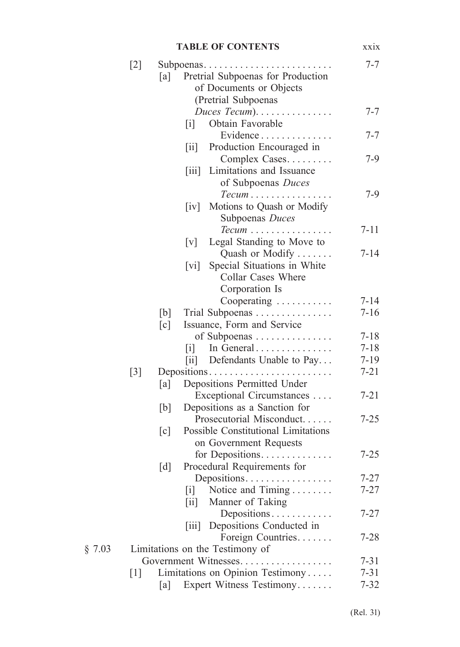|        | <b>TABLE OF CONTENTS</b>        |                                                           |                                                                                                  | xxix     |  |
|--------|---------------------------------|-----------------------------------------------------------|--------------------------------------------------------------------------------------------------|----------|--|
|        | $[2]$                           | $7 - 7$                                                   |                                                                                                  |          |  |
|        |                                 | [a]                                                       | Subpoenas<br>Pretrial Subpoenas for Production<br>of Documents or Objects<br>(Pretrial Subpoenas |          |  |
|        |                                 | $\lceil i \rceil$                                         | Duces Tecum). $\ldots \ldots \ldots \ldots$<br>Obtain Favorable                                  | $7 - 7$  |  |
|        |                                 | $\left[\text{iii}\right]$                                 | Evidence<br>Production Encouraged in                                                             | 7-7      |  |
|        |                                 | $\left\lceil \text{iii} \right\rceil$                     | Complex Cases<br>Limitations and Issuance<br>of Subpoenas Duces                                  | $7 - 9$  |  |
|        |                                 | $\lceil iv \rceil$                                        | $Tecum \ldots \ldots \ldots$<br>Motions to Quash or Modify<br>Subpoenas Duces                    | 7-9      |  |
|        |                                 | $\lceil v \rceil$                                         | $Tecum \ldots \ldots \ldots \ldots$<br>Legal Standing to Move to                                 | $7 - 11$ |  |
|        |                                 | $\lceil \mathrm{vi} \rceil$                               | Quash or Modify<br>Special Situations in White<br>Collar Cases Where<br>Corporation Is           | $7 - 14$ |  |
|        |                                 |                                                           | Cooperating                                                                                      | $7 - 14$ |  |
|        |                                 | [b]<br>$\lceil c \rceil$                                  | Trial Subpoenas<br>Issuance, Form and Service                                                    | $7 - 16$ |  |
|        |                                 |                                                           | of Subpoenas                                                                                     | $7 - 18$ |  |
|        |                                 | $\lceil i \rceil$                                         | In General                                                                                       | $7 - 18$ |  |
|        |                                 |                                                           | [ii] Defendants Unable to Pay                                                                    | $7-19$   |  |
|        | $\lceil 3 \rceil$               |                                                           | Depositions                                                                                      | $7 - 21$ |  |
|        |                                 | [a]                                                       | Depositions Permitted Under                                                                      |          |  |
|        |                                 | [b]                                                       | Exceptional Circumstances<br>Depositions as a Sanction for                                       | $7 - 21$ |  |
|        |                                 | $\lceil c \rceil$                                         | Prosecutorial Misconduct<br>Possible Constitutional Limitations<br>on Government Requests        | $7 - 25$ |  |
|        |                                 | [d]                                                       | for Depositions.<br>Procedural Requirements for                                                  | $7 - 25$ |  |
|        |                                 |                                                           | Depositions                                                                                      | $7 - 27$ |  |
|        |                                 | $\lceil i \rceil$<br>$\left\lceil \text{ii} \right\rceil$ | Notice and Timing<br>Manner of Taking                                                            | $7 - 27$ |  |
|        |                                 |                                                           | Depositions<br>[iii] Depositions Conducted in                                                    | $7 - 27$ |  |
|        |                                 |                                                           | Foreign Countries.                                                                               | $7 - 28$ |  |
| § 7.03 | Limitations on the Testimony of |                                                           |                                                                                                  |          |  |
|        |                                 |                                                           | Government Witnesses                                                                             | $7 - 31$ |  |
|        | $\lceil 1 \rceil$               |                                                           | Limitations on Opinion Testimony                                                                 | $7 - 31$ |  |
|        |                                 | [a]                                                       | Expert Witness Testimony                                                                         | $7 - 32$ |  |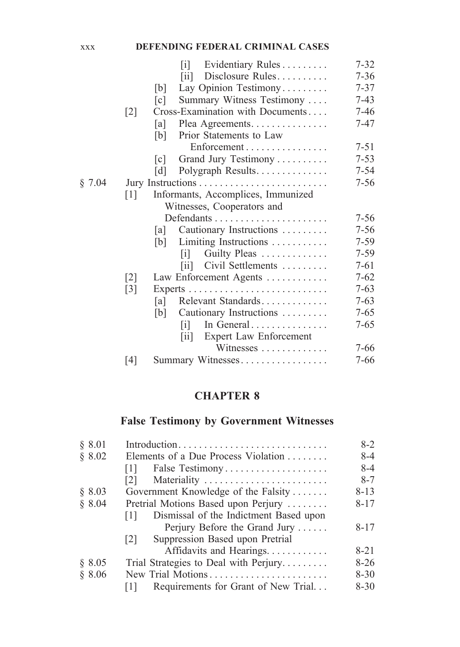#### xxx **DEFENDING FEDERAL CRIMINAL CASES**

|        |                            | Evidentiary Rules<br>$\lceil i \rceil$                    | $7 - 32$ |  |  |  |
|--------|----------------------------|-----------------------------------------------------------|----------|--|--|--|
|        |                            | Disclosure Rules<br>$\left\lceil \text{iii} \right\rceil$ | $7 - 36$ |  |  |  |
|        |                            | Lay Opinion Testimony<br>[b]                              | $7 - 37$ |  |  |  |
|        |                            | Summary Witness Testimony<br>$\lceil c \rceil$            | $7-43$   |  |  |  |
|        | $\lceil 2 \rceil$          | Cross-Examination with Documents                          | $7 - 46$ |  |  |  |
|        |                            | Plea Agreements.<br>lal                                   | $7 - 47$ |  |  |  |
|        |                            | Prior Statements to Law<br>[b]                            |          |  |  |  |
|        |                            | Enforcement                                               | $7 - 51$ |  |  |  |
|        |                            | Grand Jury Testimony<br>$\lceil c \rceil$                 | $7 - 53$ |  |  |  |
|        |                            | Polygraph Results<br> d                                   | $7 - 54$ |  |  |  |
| § 7.04 |                            |                                                           | $7 - 56$ |  |  |  |
|        | $\lceil 1 \rceil$          | Informants, Accomplices, Immunized                        |          |  |  |  |
|        | Witnesses, Cooperators and |                                                           |          |  |  |  |
|        |                            |                                                           | $7 - 56$ |  |  |  |
|        |                            | Cautionary Instructions<br> a                             | $7 - 56$ |  |  |  |
|        |                            | Limiting Instructions<br>[b]                              | $7 - 59$ |  |  |  |
|        |                            | Guilty Pleas<br>$\mathbf{ii}$                             | $7 - 59$ |  |  |  |
|        |                            | Civil Settlements<br>$\overline{\mathbf{ii}}$             | $7 - 61$ |  |  |  |
|        | $\lceil 2 \rceil$          | Law Enforcement Agents                                    | $7 - 62$ |  |  |  |
|        | $\lceil 3 \rceil$          |                                                           | $7 - 63$ |  |  |  |
|        |                            | Relevant Standards<br>[a]                                 | $7 - 63$ |  |  |  |
|        |                            | [b]<br>Cautionary Instructions                            | $7 - 65$ |  |  |  |
|        |                            | In General<br>ΙiΙ                                         | $7 - 65$ |  |  |  |
|        |                            | Expert Law Enforcement<br>$\left[ 11 \right]$             |          |  |  |  |
|        |                            | Witnesses                                                 | $7 - 66$ |  |  |  |
|        | [4]                        | Summary Witnesses                                         | 7-66     |  |  |  |

### **CHAPTER 8**

# **False Testimony by Government Witnesses**

| § 8.01 |                                               | $8-2$    |
|--------|-----------------------------------------------|----------|
| \$8.02 | Elements of a Due Process Violation           | $8 - 4$  |
|        | False Testimony<br> 1                         | 8-4      |
|        | Materiality<br> 2                             | $8 - 7$  |
| § 8.03 | Government Knowledge of the Falsity           | $8 - 13$ |
| § 8.04 | Pretrial Motions Based upon Perjury           | $8 - 17$ |
|        | Dismissal of the Indictment Based upon<br>111 |          |
|        | Perjury Before the Grand Jury                 | $8 - 17$ |
|        | Suppression Based upon Pretrial<br> 2         |          |
|        | Affidavits and Hearings.                      | $8 - 21$ |
| § 8.05 | Trial Strategies to Deal with Perjury         | $8-26$   |
| \$8.06 | New Trial Motions                             | $8 - 30$ |
|        | Requirements for Grant of New Trial<br>111    | $8 - 30$ |
|        |                                               |          |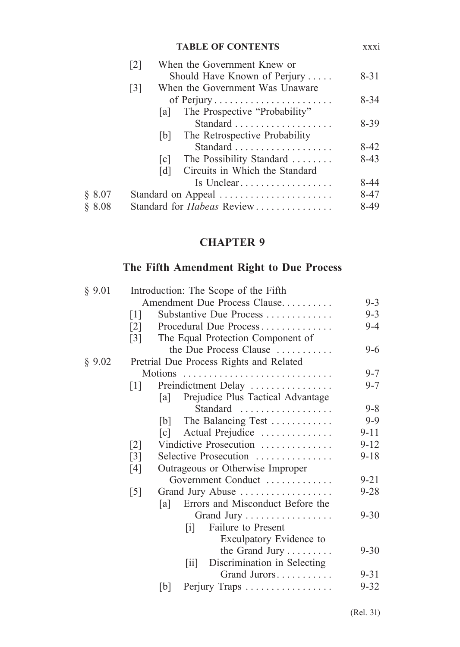|        | <b>TABLE OF CONTENTS</b>                             | XXX1     |
|--------|------------------------------------------------------|----------|
|        | When the Government Knew or<br>$\lceil 2 \rceil$     |          |
|        | Should Have Known of Perjury                         | $8 - 31$ |
|        | When the Government Was Unaware<br>$\lceil 3 \rceil$ |          |
|        | of Perjury                                           | $8 - 34$ |
|        | The Prospective "Probability"<br>lal I               |          |
|        |                                                      | $8-39$   |
|        | The Retrospective Probability<br> b                  |          |
|        |                                                      | $8-42$   |
|        | The Possibility Standard<br> c                       | $8-43$   |
|        | Circuits in Which the Standard<br>$\lceil d \rceil$  |          |
|        | Is Unclear                                           | 8-44     |
| § 8.07 | Standard on Appeal                                   | $8 - 47$ |
| \$8.08 | Standard for Habeas Review                           | 8-49     |
|        |                                                      |          |

# **CHAPTER 9**

# **The Fifth Amendment Right to Due Process**

| § 9.01 | Introduction: The Scope of the Fifth |                   |                                                    |          |
|--------|--------------------------------------|-------------------|----------------------------------------------------|----------|
|        |                                      |                   | Amendment Due Process Clause                       | $9 - 3$  |
|        | $\lceil 1 \rceil$                    |                   | Substantive Due Process                            | $9 - 3$  |
|        | $\lceil 2 \rceil$                    |                   | Procedural Due Process                             | 9-4      |
|        | $\lceil 3 \rceil$                    |                   | The Equal Protection Component of                  |          |
|        |                                      |                   | the Due Process Clause                             | $9-6$    |
| § 9.02 |                                      |                   | Pretrial Due Process Rights and Related            |          |
|        |                                      |                   |                                                    | $9 - 7$  |
|        | $\lceil 1 \rceil$                    |                   | Preindictment Delay                                | $9 - 7$  |
|        |                                      | [a]               | Prejudice Plus Tactical Advantage                  |          |
|        |                                      |                   | Standard                                           | $9 - 8$  |
|        |                                      | b                 | The Balancing Test                                 | $9-9$    |
|        |                                      | $\lceil c \rceil$ | Actual Prejudice                                   | $9 - 11$ |
|        | $\lceil 2 \rceil$                    |                   | Vindictive Prosecution                             | $9 - 12$ |
|        | $\lceil 3 \rceil$                    |                   | Selective Prosecution                              | $9 - 18$ |
|        | [4]                                  |                   | Outrageous or Otherwise Improper                   |          |
|        |                                      |                   | Government Conduct                                 | $9 - 21$ |
|        | $\lceil 5 \rceil$                    |                   | Grand Jury Abuse                                   | $9 - 28$ |
|        |                                      | [a]               | Errors and Misconduct Before the                   |          |
|        |                                      |                   | Grand Jury                                         | $9 - 30$ |
|        |                                      |                   | Failure to Present<br>$\mathbf{ii}$                |          |
|        |                                      |                   | Exculpatory Evidence to                            |          |
|        |                                      |                   | the Grand Jury                                     | $9 - 30$ |
|        |                                      |                   | Discrimination in Selecting<br>$\left[ 1i \right]$ |          |
|        |                                      |                   | Grand Jurors                                       | $9 - 31$ |
|        |                                      | [b]               | Perjury Traps                                      | $9 - 32$ |
|        |                                      |                   |                                                    |          |